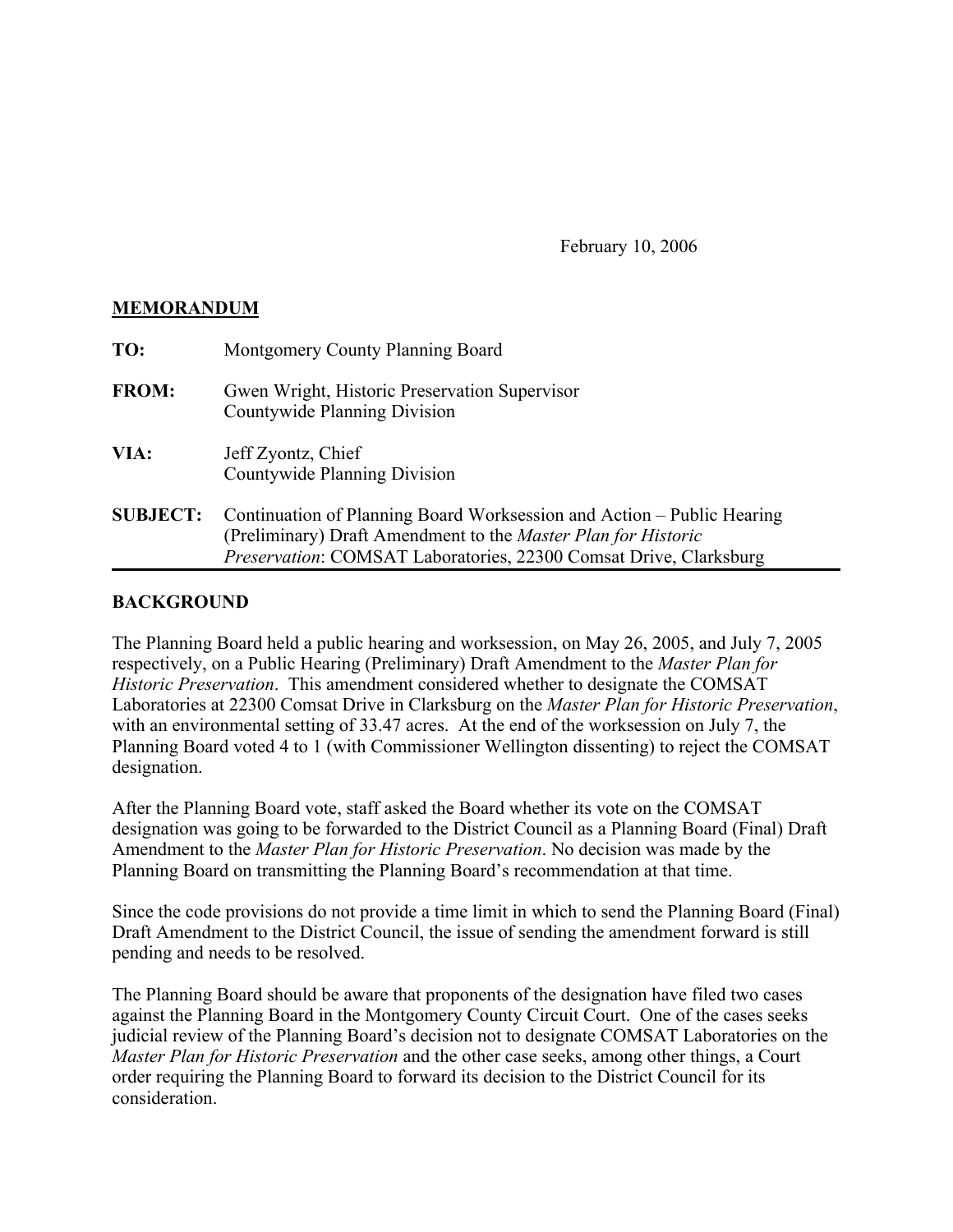February 10, 2006

## **MEMORANDUM**

| TO:             | Montgomery County Planning Board                                                                                                                                                                             |
|-----------------|--------------------------------------------------------------------------------------------------------------------------------------------------------------------------------------------------------------|
| <b>FROM:</b>    | Gwen Wright, Historic Preservation Supervisor<br>Countywide Planning Division                                                                                                                                |
| VIA:            | Jeff Zyontz, Chief<br>Countywide Planning Division                                                                                                                                                           |
| <b>SUBJECT:</b> | Continuation of Planning Board Worksession and Action – Public Hearing<br>(Preliminary) Draft Amendment to the Master Plan for Historic<br>Preservation: COMSAT Laboratories, 22300 Comsat Drive, Clarksburg |

## **BACKGROUND**

The Planning Board held a public hearing and worksession, on May 26, 2005, and July 7, 2005 respectively, on a Public Hearing (Preliminary) Draft Amendment to the *Master Plan for Historic Preservation*. This amendment considered whether to designate the COMSAT Laboratories at 22300 Comsat Drive in Clarksburg on the *Master Plan for Historic Preservation*, with an environmental setting of 33.47 acres. At the end of the worksession on July 7, the Planning Board voted 4 to 1 (with Commissioner Wellington dissenting) to reject the COMSAT designation.

After the Planning Board vote, staff asked the Board whether its vote on the COMSAT designation was going to be forwarded to the District Council as a Planning Board (Final) Draft Amendment to the *Master Plan for Historic Preservation*. No decision was made by the Planning Board on transmitting the Planning Board's recommendation at that time.

Since the code provisions do not provide a time limit in which to send the Planning Board (Final) Draft Amendment to the District Council, the issue of sending the amendment forward is still pending and needs to be resolved.

The Planning Board should be aware that proponents of the designation have filed two cases against the Planning Board in the Montgomery County Circuit Court. One of the cases seeks judicial review of the Planning Board's decision not to designate COMSAT Laboratories on the *Master Plan for Historic Preservation* and the other case seeks, among other things, a Court order requiring the Planning Board to forward its decision to the District Council for its consideration.